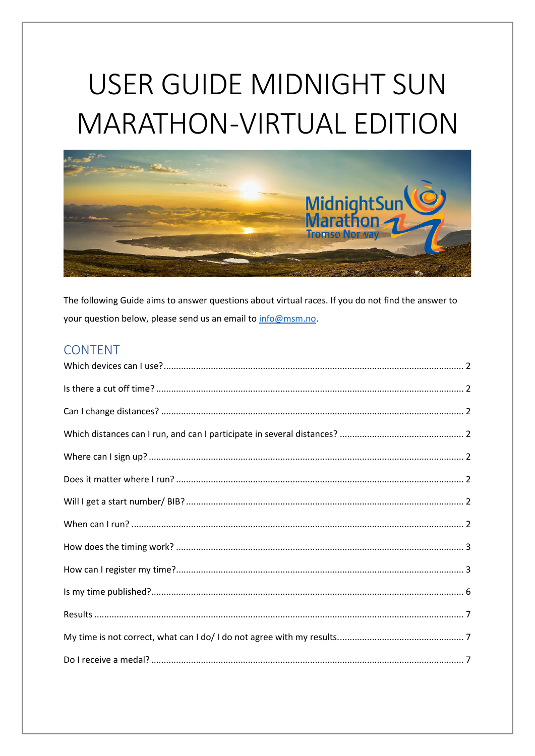# USER GUIDE MIDNIGHT SUN **MARATHON-VIRTUAL EDITION**



The following Guide aims to answer questions about virtual races. If you do not find the answer to your question below, please send us an email to info@msm.no.

## **CONTENT**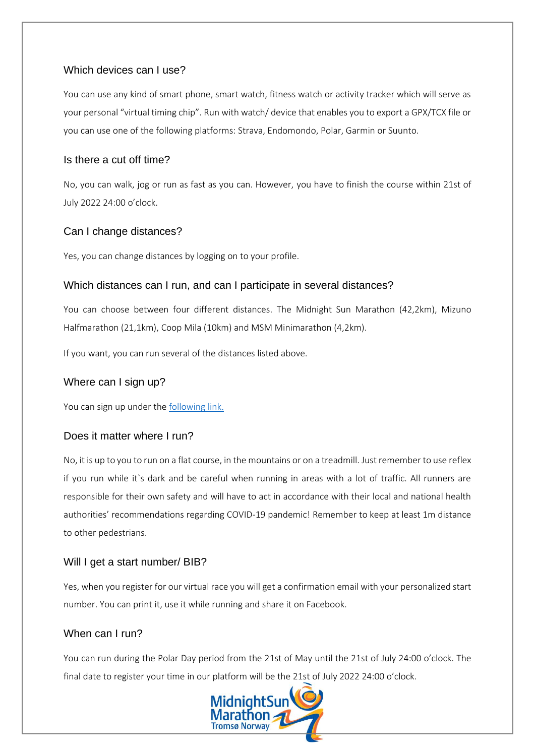## <span id="page-1-0"></span>Which devices can Luse?

You can use any kind of smart phone, smart watch, fitness watch or activity tracker which will serve as your personal "virtual timing chip". Run with watch/ device that enables you to export a GPX/TCX file or you can use one of the following platforms: Strava, Endomondo, Polar, Garmin or Suunto.

## <span id="page-1-1"></span>Is there a cut off time?

No, you can walk, jog or run as fast as you can. However, you have to finish the course within 21st of July 2022 24:00 o'clock.

## <span id="page-1-2"></span>Can I change distances?

Yes, you can change distances by logging on to your profile.

## <span id="page-1-3"></span>Which distances can I run, and can I participate in several distances?

You can choose between four different distances. The Midnight Sun Marathon (42,2km), Mizuno Halfmarathon (21,1km), Coop Mila (10km) and MSM Minimarathon (4,2km).

If you want, you can run several of the distances listed above.

## <span id="page-1-4"></span>Where can I sign up?

You can sign up under the [following link.](https://www.msm.no/en/arrangement/virtual-midnight-sun-marathon/)

## <span id="page-1-5"></span>Does it matter where I run?

No, it is up to you to run on a flat course, in the mountains or on a treadmill. Just remember to use reflex if you run while it`s dark and be careful when running in areas with a lot of traffic. All runners are responsible for their own safety and will have to act in accordance with their local and national health authorities' recommendations regarding COVID-19 pandemic! Remember to keep at least 1m distance to other pedestrians.

## <span id="page-1-6"></span>Will I get a start number/ BIB?

Yes, when you register for our virtual race you will get a confirmation email with your personalized start number. You can print it, use it while running and share it on Facebook.

## <span id="page-1-7"></span>When can I run?

You can run during the Polar Day period from the 21st of May until the 21st of July 24:00 o'clock. The final date to register your time in our platform will be the 21st of July 2022 24:00 o'clock.

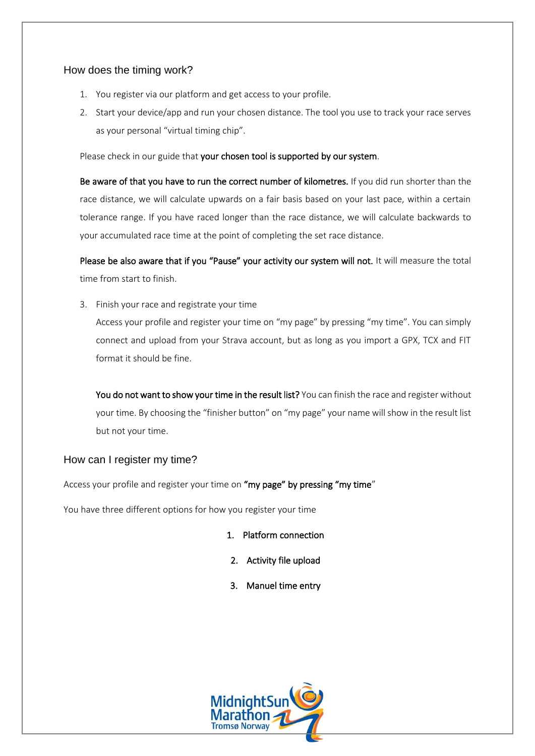## <span id="page-2-0"></span>How does the timing work?

- 1. You register via our platform and get access to your profile.
- 2. Start your device/app and run your chosen distance. The tool you use to track your race serves as your personal "virtual timing chip".

Please check in our guide that your chosen tool is supported by our system.

Be aware of that you have to run the correct number of kilometres. If you did run shorter than the race distance, we will calculate upwards on a fair basis based on your last pace, within a certain tolerance range. If you have raced longer than the race distance, we will calculate backwards to your accumulated race time at the point of completing the set race distance.

Please be also aware that if you "Pause" your activity our system will not. It will measure the total time from start to finish.

3. Finish your race and registrate your time

Access your profile and register your time on "my page" by pressing "my time". You can simply connect and upload from your Strava account, but as long as you import a GPX, TCX and FIT format it should be fine.

You do not want to show your time in the result list? You can finish the race and register without your time. By choosing the "finisher button" on "my page" your name will show in the result list but not your time.

## <span id="page-2-1"></span>How can I register my time?

Access your profile and register your time on "my page" by pressing "my time"

You have three different options for how you register your time

- 1. Platform connection
- 2. Activity file upload
- 3. Manuel time entry

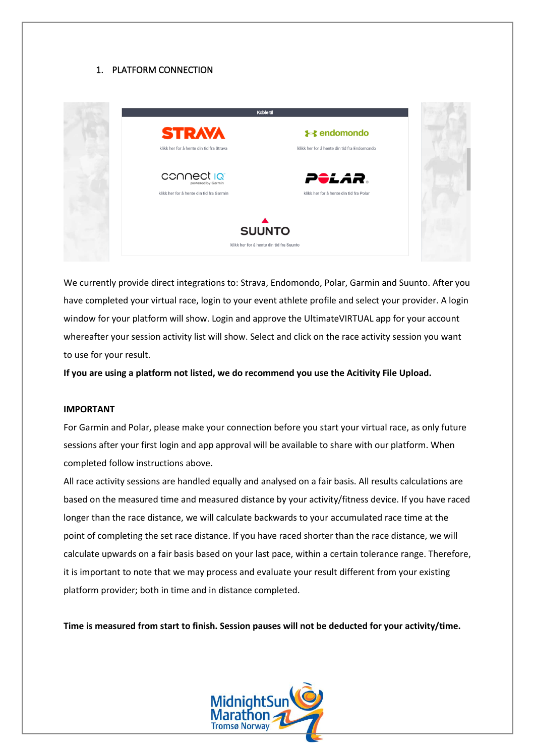#### 1. PLATFORM CONNECTION



We currently provide direct integrations to: Strava, Endomondo, Polar, Garmin and Suunto. After you have completed your virtual race, login to your event athlete profile and select your provider. A login window for your platform will show. Login and approve the UltimateVIRTUAL app for your account whereafter your session activity list will show. Select and click on the race activity session you want to use for your result.

**If you are using a platform not listed, we do recommend you use the Acitivity File Upload.**

#### **IMPORTANT**

For Garmin and Polar, please make your connection before you start your virtual race, as only future sessions after your first login and app approval will be available to share with our platform. When completed follow instructions above.

All race activity sessions are handled equally and analysed on a fair basis. All results calculations are based on the measured time and measured distance by your activity/fitness device. If you have raced longer than the race distance, we will calculate backwards to your accumulated race time at the point of completing the set race distance. If you have raced shorter than the race distance, we will calculate upwards on a fair basis based on your last pace, within a certain tolerance range. Therefore, it is important to note that we may process and evaluate your result different from your existing platform provider; both in time and in distance completed.

**Time is measured from start to finish. Session pauses will not be deducted for your activity/time.**

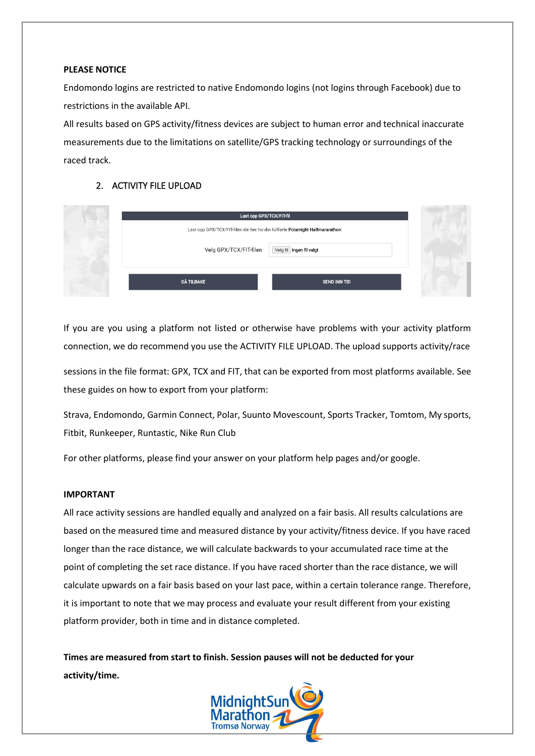#### **PLEASE NOTICE**

Endomondo logins are restricted to native Endomondo logins (not logins through Facebook) due to restrictions in the available API.

All results based on GPS activity/fitness devices are subject to human error and technical inaccurate measurements due to the limitations on satellite/GPS tracking technology or surroundings of the raced track.

#### 2. ACTIVITY FILE UPLOAD

| Last opp GPX/TCX/FIT-fil                                                        |                          |  |
|---------------------------------------------------------------------------------|--------------------------|--|
| Last opp GPX/TCX/FIT-filen din her for din fullførte Polarnight Halfmararathon: |                          |  |
| Velg GPX/TCX/FIT-filen                                                          | Velg fil Ingen fil valgt |  |
|                                                                                 |                          |  |
| <b>GÅ TILBAKE</b>                                                               | SEND INN TID             |  |

If you are you using a platform not listed or otherwise have problems with your activity platform connection, we do recommend you use the ACTIVITY FILE UPLOAD. The upload supports activity/race

sessions in the file format: GPX, TCX and FIT, that can be exported from most platforms available. See these guides on how to export from your platform:

Strava, Endomondo, Garmin Connect, Polar, Suunto Movescount, Sports Tracker, Tomtom, My sports, Fitbit, Runkeeper, Runtastic, Nike Run Club

For other platforms, please find your answer on your platform help pages and/or google.

#### **IMPORTANT**

All race activity sessions are handled equally and analyzed on a fair basis. All results calculations are based on the measured time and measured distance by your activity/fitness device. If you have raced longer than the race distance, we will calculate backwards to your accumulated race time at the point of completing the set race distance. If you have raced shorter than the race distance, we will calculate upwards on a fair basis based on your last pace, within a certain tolerance range. Therefore, it is important to note that we may process and evaluate your result different from your existing platform provider, both in time and in distance completed.

**Times are measured from start to finish. Session pauses will not be deducted for your activity/time.**

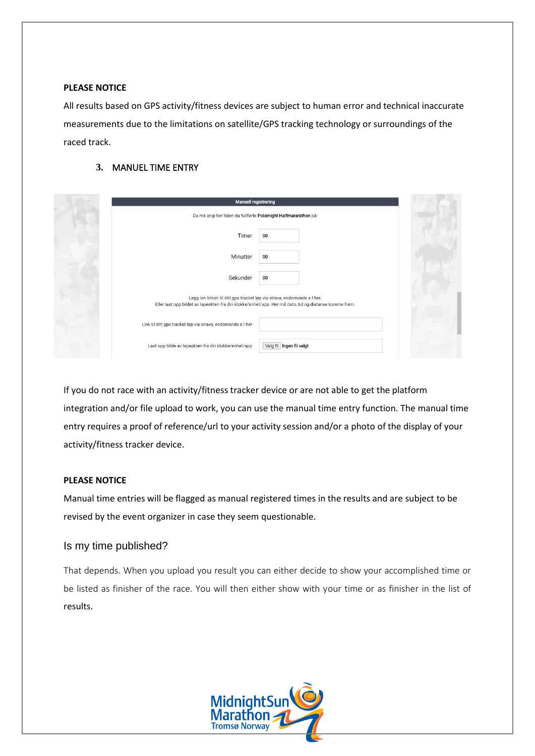#### **PLEASE NOTICE**

All results based on GPS activity/fitness devices are subject to human error and technical inaccurate measurements due to the limitations on satellite/GPS tracking technology or surroundings of the raced track.

#### **3.** MANUEL TIME ENTRY

| <b>Manuell registrering</b>                                                                                                                                                      |  |
|----------------------------------------------------------------------------------------------------------------------------------------------------------------------------------|--|
| Du må angi her tiden du fullførte Polarnight Halfmararathon på:                                                                                                                  |  |
| 00<br>Timer                                                                                                                                                                      |  |
| 00<br>Minutter                                                                                                                                                                   |  |
| Sekunder<br>00                                                                                                                                                                   |  |
| Legg inn linken til ditt gps tracket løp via strava, endomondo e.l her.<br>Eller last opp bildet av løpeøkten fra din klokke/enhet/app. Her må dato, tid og distanse komme frem. |  |
| Link til ditt gps tracket løp via strava, endomondo e.l her                                                                                                                      |  |
| Velg fil Ingen fil valgt<br>Last opp bilde av løpeøkten fra din klokke/enhet/app                                                                                                 |  |

If you do not race with an activity/fitness tracker device or are not able to get the platform integration and/or file upload to work, you can use the manual time entry function. The manual time entry requires a proof of reference/url to your activity session and/or a photo of the display of your activity/fitness tracker device.

#### **PLEASE NOTICE**

Manual time entries will be flagged as manual registered times in the results and are subject to be revised by the event organizer in case they seem questionable.

#### <span id="page-5-0"></span>Is my time published?

That depends. When you upload you result you can either decide to show your accomplished time or be listed as finisher of the race. You will then either show with your time or as finisher in the list of results.